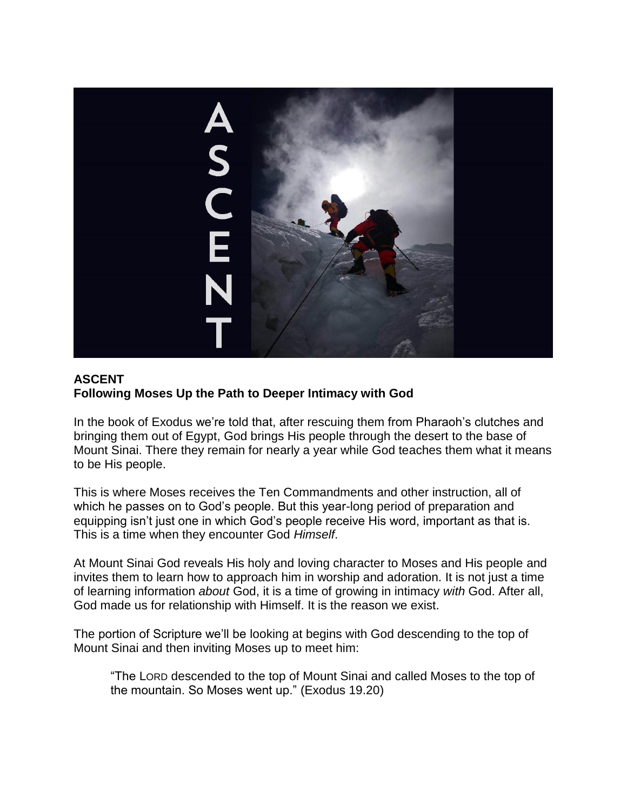

### **ASCENT Following Moses Up the Path to Deeper Intimacy with God**

In the book of Exodus we're told that, after rescuing them from Pharaoh's clutches and bringing them out of Egypt, God brings His people through the desert to the base of Mount Sinai. There they remain for nearly a year while God teaches them what it means to be His people.

This is where Moses receives the Ten Commandments and other instruction, all of which he passes on to God's people. But this year-long period of preparation and equipping isn't just one in which God's people receive His word, important as that is. This is a time when they encounter God *Himself*.

At Mount Sinai God reveals His holy and loving character to Moses and His people and invites them to learn how to approach him in worship and adoration. It is not just a time of learning information *about* God, it is a time of growing in intimacy *with* God. After all, God made us for relationship with Himself. It is the reason we exist.

The portion of Scripture we'll be looking at begins with God descending to the top of Mount Sinai and then inviting Moses up to meet him:

"The LORD descended to the top of Mount Sinai and called Moses to the top of the mountain. So Moses went up." (Exodus 19.20)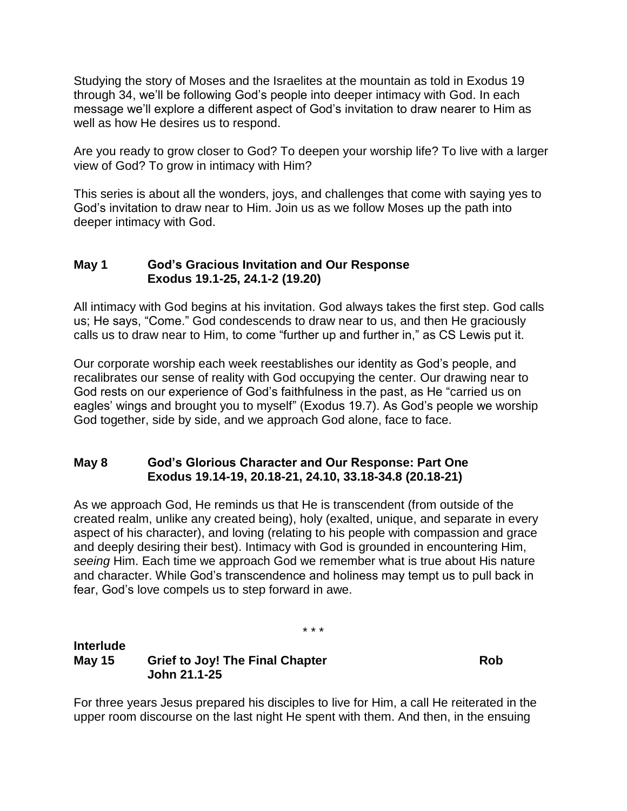Studying the story of Moses and the Israelites at the mountain as told in Exodus 19 through 34, we'll be following God's people into deeper intimacy with God. In each message we'll explore a different aspect of God's invitation to draw nearer to Him as well as how He desires us to respond.

Are you ready to grow closer to God? To deepen your worship life? To live with a larger view of God? To grow in intimacy with Him?

This series is about all the wonders, joys, and challenges that come with saying yes to God's invitation to draw near to Him. Join us as we follow Moses up the path into deeper intimacy with God.

### **May 1 God's Gracious Invitation and Our Response Exodus 19.1-25, 24.1-2 (19.20)**

All intimacy with God begins at his invitation. God always takes the first step. God calls us; He says, "Come." God condescends to draw near to us, and then He graciously calls us to draw near to Him, to come "further up and further in," as CS Lewis put it.

Our corporate worship each week reestablishes our identity as God's people, and recalibrates our sense of reality with God occupying the center. Our drawing near to God rests on our experience of God's faithfulness in the past, as He "carried us on eagles' wings and brought you to myself" (Exodus 19.7). As God's people we worship God together, side by side, and we approach God alone, face to face.

### **May 8 God's Glorious Character and Our Response: Part One Exodus 19.14-19, 20.18-21, 24.10, 33.18-34.8 (20.18-21)**

As we approach God, He reminds us that He is transcendent (from outside of the created realm, unlike any created being), holy (exalted, unique, and separate in every aspect of his character), and loving (relating to his people with compassion and grace and deeply desiring their best). Intimacy with God is grounded in encountering Him, *seeing* Him. Each time we approach God we remember what is true about His nature and character. While God's transcendence and holiness may tempt us to pull back in fear, God's love compels us to step forward in awe.

\* \* \*

# **Interlude May 15** Grief to Joy! The Final Chapter **Rob John 21.1-25**

For three years Jesus prepared his disciples to live for Him, a call He reiterated in the upper room discourse on the last night He spent with them. And then, in the ensuing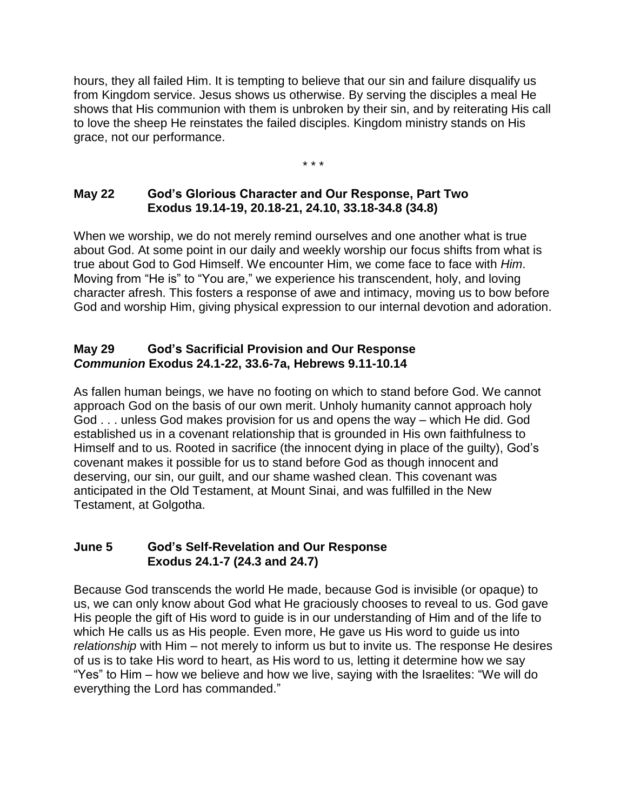hours, they all failed Him. It is tempting to believe that our sin and failure disqualify us from Kingdom service. Jesus shows us otherwise. By serving the disciples a meal He shows that His communion with them is unbroken by their sin, and by reiterating His call to love the sheep He reinstates the failed disciples. Kingdom ministry stands on His grace, not our performance.

\* \* \*

## **May 22 God's Glorious Character and Our Response, Part Two Exodus 19.14-19, 20.18-21, 24.10, 33.18-34.8 (34.8)**

When we worship, we do not merely remind ourselves and one another what is true about God. At some point in our daily and weekly worship our focus shifts from what is true about God to God Himself. We encounter Him, we come face to face with *Him*. Moving from "He is" to "You are," we experience his transcendent, holy, and loving character afresh. This fosters a response of awe and intimacy, moving us to bow before God and worship Him, giving physical expression to our internal devotion and adoration.

### **May 29 God's Sacrificial Provision and Our Response**  *Communion* **Exodus 24.1-22, 33.6-7a, Hebrews 9.11-10.14**

As fallen human beings, we have no footing on which to stand before God. We cannot approach God on the basis of our own merit. Unholy humanity cannot approach holy God . . . unless God makes provision for us and opens the way – which He did. God established us in a covenant relationship that is grounded in His own faithfulness to Himself and to us. Rooted in sacrifice (the innocent dying in place of the guilty), God's covenant makes it possible for us to stand before God as though innocent and deserving, our sin, our guilt, and our shame washed clean. This covenant was anticipated in the Old Testament, at Mount Sinai, and was fulfilled in the New Testament, at Golgotha.

### **June 5 God's Self-Revelation and Our Response Exodus 24.1-7 (24.3 and 24.7)**

Because God transcends the world He made, because God is invisible (or opaque) to us, we can only know about God what He graciously chooses to reveal to us. God gave His people the gift of His word to guide is in our understanding of Him and of the life to which He calls us as His people. Even more, He gave us His word to guide us into *relationship* with Him – not merely to inform us but to invite us. The response He desires of us is to take His word to heart, as His word to us, letting it determine how we say "Yes" to Him – how we believe and how we live, saying with the Israelites: "We will do everything the Lord has commanded."